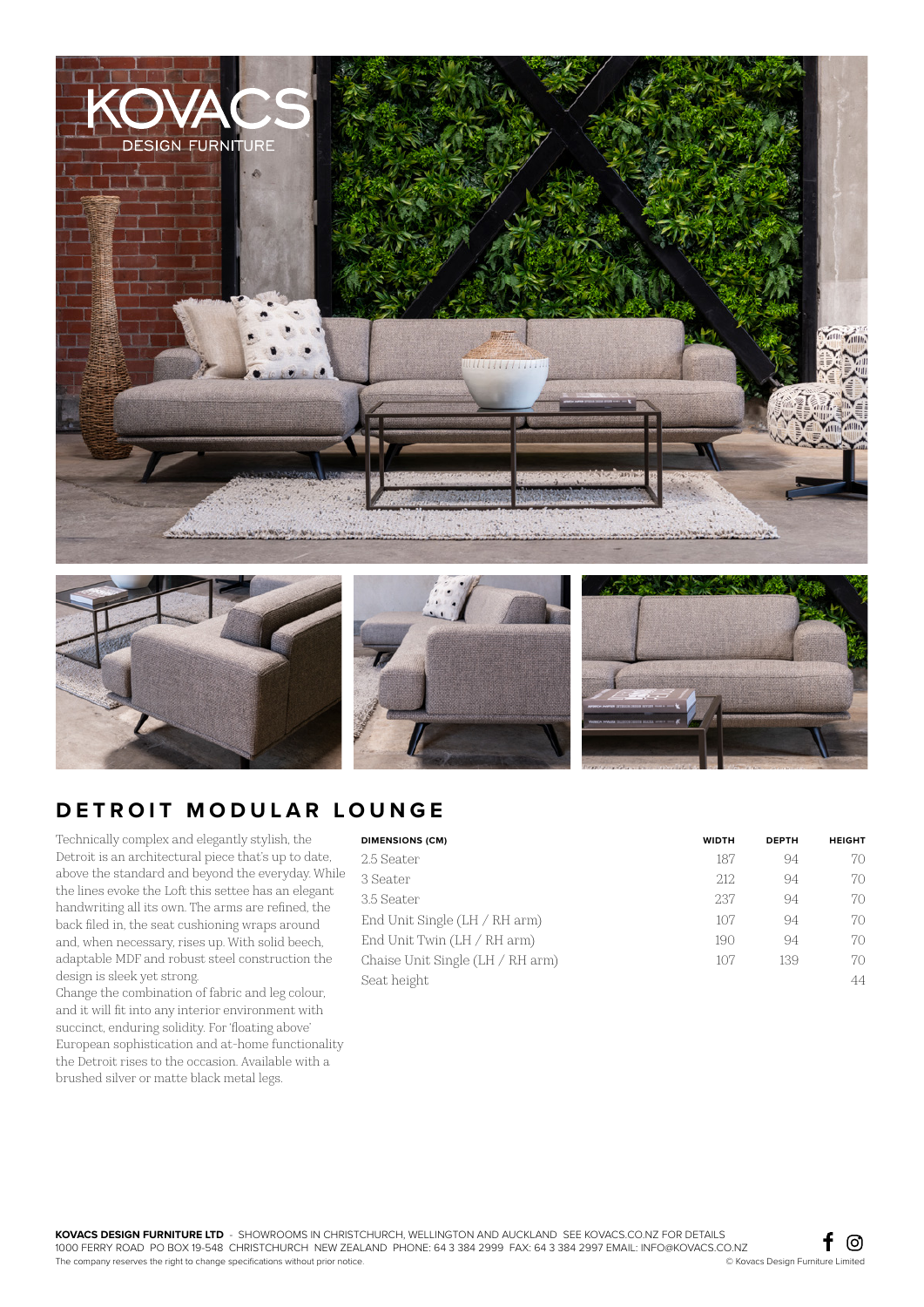







## **DETROIT MODULAR LOUNGE**

Technically complex and elegantly stylish, the Detroit is an architectural piece that's up to date, above the standard and beyond the everyday. While the lines evoke the Loft this settee has an elegant handwriting all its own. The arms are refined, the back filed in, the seat cushioning wraps around and, when necessary, rises up. With solid beech, adaptable MDF and robust steel construction the design is sleek yet strong.

Change the combination of fabric and leg colour, and it will fit into any interior environment with succinct, enduring solidity. For 'floating above' European sophistication and at-home functionality the Detroit rises to the occasion. Available with a brushed silver or matte black metal legs.

| <b>DIMENSIONS (CM)</b>             | <b>WIDTH</b> | <b>DEPTH</b> | <b>HEIGHT</b> |
|------------------------------------|--------------|--------------|---------------|
| 2.5 Seater                         | 187          | 94           | 70            |
| 3 Seater                           | 212          | 94           | 70            |
| 3.5 Seater                         | 237          | 94           | 70            |
| End Unit Single $(LH / RH arm)$    | 107          | 94           | 70            |
| End Unit Twin $(LH / RH arm)$      | 190          | 94           | 70            |
| Chaise Unit Single $(LH / RH arm)$ | 107          | 139          | 70            |
| Seat height                        |              |              | 44            |